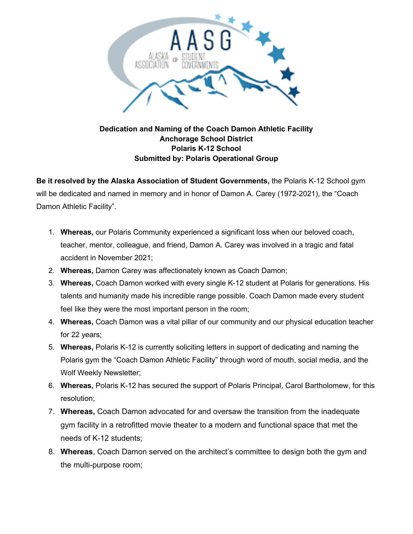

## **Dedication and Naming of the Coach Damon Athletic Facility Anchorage School District Polaris K-12 School Submitted by: Polaris Operational Group**

**Be it resolved by the Alaska Association of Student Governments,** the Polaris K-12 School gym will be dedicated and named in memory and in honor of Damon A. Carey (1972-2021), the "Coach Damon Athletic Facility".

- 1. **Whereas,** our Polaris Community experienced a significant loss when our beloved coach, teacher, mentor, colleague, and friend, Damon A. Carey was involved in a tragic and fatal accident in November 2021;
- 2. **Whereas,** Damon Carey was affectionately known as Coach Damon;
- 3. **Whereas,** Coach Damon worked with every single K-12 student at Polaris for generations. His talents and humanity made his incredible range possible. Coach Damon made every student feel like they were the most important person in the room;
- 4. **Whereas,** Coach Damon was a vital pillar of our community and our physical education teacher for 22 years;
- 5. **Whereas,** Polaris K-12 is currently soliciting letters in support of dedicating and naming the Polaris gym the "Coach Damon Athletic Facility" through word of mouth, social media, and the Wolf Weekly Newsletter;
- 6. **Whereas,** Polaris K-12 has secured the support of Polaris Principal, Carol Bartholomew, for this resolution;
- 7. **Whereas,** Coach Damon advocated for and oversaw the transition from the inadequate gym facility in a retrofitted movie theater to a modern and functional space that met the needs of K-12 students;
- 8. **Whereas**, Coach Damon served on the architect's committee to design both the gym and the multi-purpose room;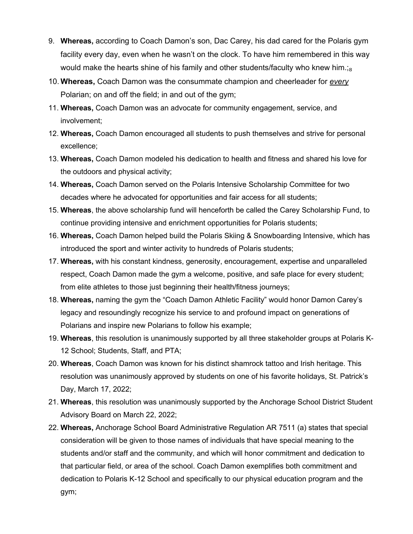- 9. **Whereas,** according to Coach Damon's son, Dac Carey, his dad cared for the Polaris gym facility every day, even when he wasn't on the clock. To have him remembered in this way would make the hearts shine of his family and other students/faculty who knew him.; $_{8}$
- 10. **Whereas,** Coach Damon was the consummate champion and cheerleader for *every* Polarian; on and off the field; in and out of the gym;
- 11. **Whereas,** Coach Damon was an advocate for community engagement, service, and involvement;
- 12. **Whereas,** Coach Damon encouraged all students to push themselves and strive for personal excellence;
- 13. **Whereas,** Coach Damon modeled his dedication to health and fitness and shared his love for the outdoors and physical activity;
- 14. **Whereas,** Coach Damon served on the Polaris Intensive Scholarship Committee for two decades where he advocated for opportunities and fair access for all students;
- 15. **Whereas**, the above scholarship fund will henceforth be called the Carey Scholarship Fund, to continue providing intensive and enrichment opportunities for Polaris students;
- 16. **Whereas,** Coach Damon helped build the Polaris Skiing & Snowboarding Intensive, which has introduced the sport and winter activity to hundreds of Polaris students;
- 17. **Whereas,** with his constant kindness, generosity, encouragement, expertise and unparalleled respect, Coach Damon made the gym a welcome, positive, and safe place for every student; from elite athletes to those just beginning their health/fitness journeys;
- 18. **Whereas,** naming the gym the "Coach Damon Athletic Facility" would honor Damon Carey's legacy and resoundingly recognize his service to and profound impact on generations of Polarians and inspire new Polarians to follow his example;
- 19. **Whereas**, this resolution is unanimously supported by all three stakeholder groups at Polaris K-12 School; Students, Staff, and PTA;
- 20. **Whereas**, Coach Damon was known for his distinct shamrock tattoo and Irish heritage. This resolution was unanimously approved by students on one of his favorite holidays, St. Patrick's Day, March 17, 2022;
- 21. **Whereas**, this resolution was unanimously supported by the Anchorage School District Student Advisory Board on March 22, 2022;
- 22. **Whereas,** Anchorage School Board Administrative Regulation AR 7511 (a) states that special consideration will be given to those names of individuals that have special meaning to the students and/or staff and the community, and which will honor commitment and dedication to that particular field, or area of the school. Coach Damon exemplifies both commitment and dedication to Polaris K-12 School and specifically to our physical education program and the gym;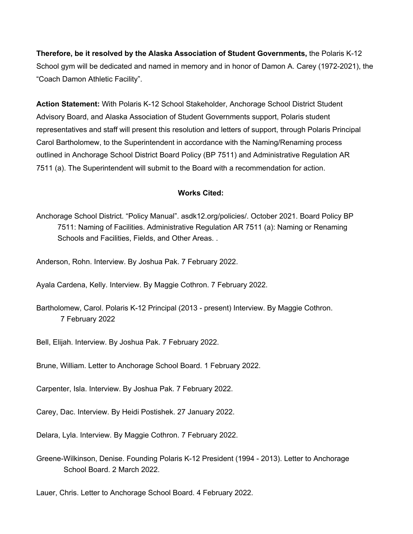**Therefore, be it resolved by the Alaska Association of Student Governments,** the Polaris K-12 School gym will be dedicated and named in memory and in honor of Damon A. Carey (1972-2021), the "Coach Damon Athletic Facility".

**Action Statement:** With Polaris K-12 School Stakeholder, Anchorage School District Student Advisory Board, and Alaska Association of Student Governments support, Polaris student representatives and staff will present this resolution and letters of support, through Polaris Principal Carol Bartholomew, to the Superintendent in accordance with the Naming/Renaming process outlined in Anchorage School District Board Policy (BP 7511) and Administrative Regulation AR 7511 (a). The Superintendent will submit to the Board with a recommendation for action.

## **Works Cited:**

Anchorage School District. "Policy Manual". asdk12.org/policies/. October 2021. Board Policy BP 7511: Naming of Facilities. Administrative Regulation AR 7511 (a): Naming or Renaming Schools and Facilities, Fields, and Other Areas. .

Anderson, Rohn. Interview. By Joshua Pak. 7 February 2022.

Ayala Cardena, Kelly. Interview. By Maggie Cothron. 7 February 2022.

Bartholomew, Carol. Polaris K-12 Principal (2013 - present) Interview. By Maggie Cothron. 7 February 2022

Bell, Elijah. Interview. By Joshua Pak. 7 February 2022.

Brune, William. Letter to Anchorage School Board. 1 February 2022.

Carpenter, Isla. Interview. By Joshua Pak. 7 February 2022.

Carey, Dac. Interview. By Heidi Postishek. 27 January 2022.

Delara, Lyla. Interview. By Maggie Cothron. 7 February 2022.

Greene-Wilkinson, Denise. Founding Polaris K-12 President (1994 - 2013). Letter to Anchorage School Board. 2 March 2022.

Lauer, Chris. Letter to Anchorage School Board. 4 February 2022.